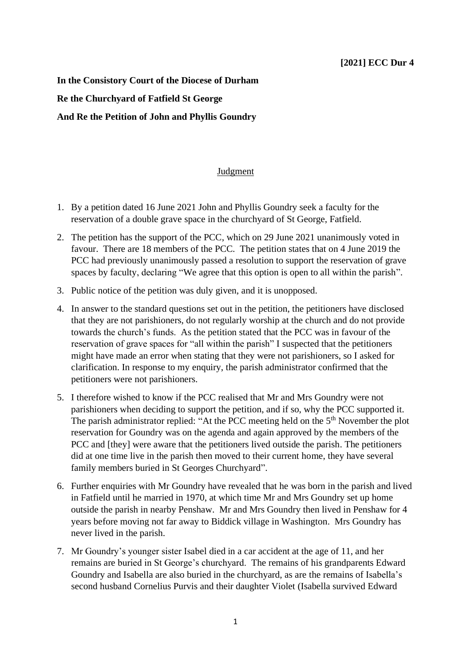**In the Consistory Court of the Diocese of Durham Re the Churchyard of Fatfield St George And Re the Petition of John and Phyllis Goundry**

## Judgment

- 1. By a petition dated 16 June 2021 John and Phyllis Goundry seek a faculty for the reservation of a double grave space in the churchyard of St George, Fatfield.
- 2. The petition has the support of the PCC, which on 29 June 2021 unanimously voted in favour. There are 18 members of the PCC. The petition states that on 4 June 2019 the PCC had previously unanimously passed a resolution to support the reservation of grave spaces by faculty, declaring "We agree that this option is open to all within the parish".
- 3. Public notice of the petition was duly given, and it is unopposed.
- 4. In answer to the standard questions set out in the petition, the petitioners have disclosed that they are not parishioners, do not regularly worship at the church and do not provide towards the church's funds. As the petition stated that the PCC was in favour of the reservation of grave spaces for "all within the parish" I suspected that the petitioners might have made an error when stating that they were not parishioners, so I asked for clarification. In response to my enquiry, the parish administrator confirmed that the petitioners were not parishioners.
- 5. I therefore wished to know if the PCC realised that Mr and Mrs Goundry were not parishioners when deciding to support the petition, and if so, why the PCC supported it. The parish administrator replied: "At the PCC meeting held on the 5<sup>th</sup> November the plot reservation for Goundry was on the agenda and again approved by the members of the PCC and [they] were aware that the petitioners lived outside the parish. The petitioners did at one time live in the parish then moved to their current home, they have several family members buried in St Georges Churchyard".
- 6. Further enquiries with Mr Goundry have revealed that he was born in the parish and lived in Fatfield until he married in 1970, at which time Mr and Mrs Goundry set up home outside the parish in nearby Penshaw. Mr and Mrs Goundry then lived in Penshaw for 4 years before moving not far away to Biddick village in Washington. Mrs Goundry has never lived in the parish.
- 7. Mr Goundry's younger sister Isabel died in a car accident at the age of 11, and her remains are buried in St George's churchyard. The remains of his grandparents Edward Goundry and Isabella are also buried in the churchyard, as are the remains of Isabella's second husband Cornelius Purvis and their daughter Violet (Isabella survived Edward